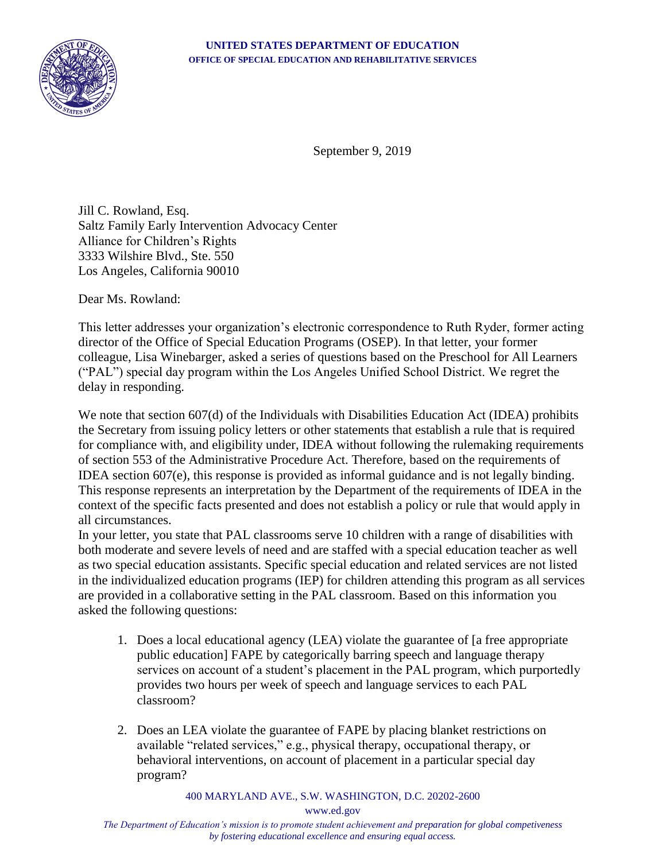

September 9, 2019

Jill C. Rowland, Esq. Saltz Family Early Intervention Advocacy Center Alliance for Children's Rights 3333 Wilshire Blvd., Ste. 550 Los Angeles, California 90010

Dear Ms. Rowland:

This letter addresses your organization's electronic correspondence to Ruth Ryder, former acting director of the Office of Special Education Programs (OSEP). In that letter, your former colleague, Lisa Winebarger, asked a series of questions based on the Preschool for All Learners ("PAL") special day program within the Los Angeles Unified School District. We regret the delay in responding.

We note that section 607(d) of the Individuals with Disabilities Education Act (IDEA) prohibits the Secretary from issuing policy letters or other statements that establish a rule that is required for compliance with, and eligibility under, IDEA without following the rulemaking requirements of section 553 of the Administrative Procedure Act. Therefore, based on the requirements of IDEA section 607(e), this response is provided as informal guidance and is not legally binding. This response represents an interpretation by the Department of the requirements of IDEA in the context of the specific facts presented and does not establish a policy or rule that would apply in all circumstances.

In your letter, you state that PAL classrooms serve 10 children with a range of disabilities with both moderate and severe levels of need and are staffed with a special education teacher as well as two special education assistants. Specific special education and related services are not listed in the individualized education programs (IEP) for children attending this program as all services are provided in a collaborative setting in the PAL classroom. Based on this information you asked the following questions:

- 1. Does a local educational agency (LEA) violate the guarantee of [a free appropriate public education] FAPE by categorically barring speech and language therapy services on account of a student's placement in the PAL program, which purportedly provides two hours per week of speech and language services to each PAL classroom?
- 2. Does an LEA violate the guarantee of FAPE by placing blanket restrictions on available "related services," e.g., physical therapy, occupational therapy, or behavioral interventions, on account of placement in a particular special day program?

400 MARYLAND AVE., S.W. WASHINGTON, D.C. 20202-2600

www.ed.gov

*The Department of Education's mission is to promote student achievement and preparation for global competiveness by fostering educational excellence and ensuring equal access.*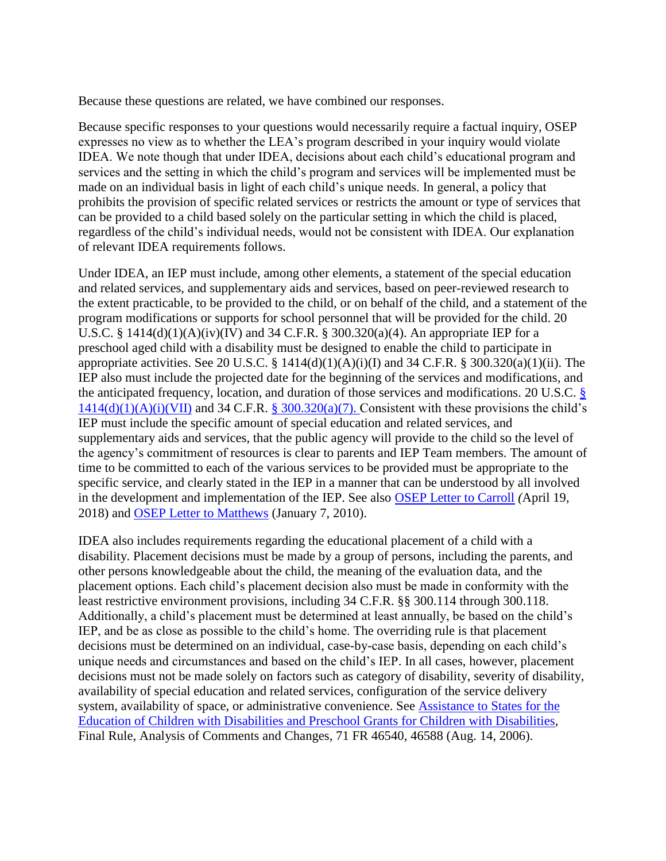Because these questions are related, we have combined our responses.

Because specific responses to your questions would necessarily require a factual inquiry, OSEP expresses no view as to whether the LEA's program described in your inquiry would violate IDEA. We note though that under IDEA, decisions about each child's educational program and services and the setting in which the child's program and services will be implemented must be made on an individual basis in light of each child's unique needs. In general, a policy that prohibits the provision of specific related services or restricts the amount or type of services that can be provided to a child based solely on the particular setting in which the child is placed, regardless of the child's individual needs, would not be consistent with IDEA. Our explanation of relevant IDEA requirements follows.

Under IDEA, an IEP must include, among other elements, a statement of the special education and related services, and supplementary aids and services, based on peer-reviewed research to the extent practicable, to be provided to the child, or on behalf of the child, and a statement of the program modifications or supports for school personnel that will be provided for the child. 20 U.S.C. § 1414(d)(1)(A)(iv)(IV) and 34 C.F.R. § 300.320(a)(4). An appropriate IEP for a preschool aged child with a disability must be designed to enable the child to participate in appropriate activities. See 20 U.S.C. § 1414(d)(1)(A)(i)(I) and 34 C.F.R. § 300.320(a)(1)(ii). The IEP also must include the projected date for the beginning of the services and modifications, and the anticipated frequency, location, and duration of those services and modifications. 20 U.S.C. §  $1414(d)(1)(A)(i)(VII)$  and 34 C.F.R. § 300.320(a)(7). Consistent with these provisions the child's IEP must include the specific amount of special education and related services, and supplementary aids and services, that the public agency will provide to the child so the level of the agency's commitment of resources is clear to parents and IEP Team members. The amount of time to be committed to each of the various services to be provided must be appropriate to the specific service, and clearly stated in the IEP in a manner that can be understood by all involved in the development and implementation of the IEP. See also [OSEP Letter to Carroll](https://www2.ed.gov/policy/speced/guid/idea/memosdcltrs/letter-to-letter-to-carroll-4-19-18.pdf) *(*April 19, 2018) and [OSEP Letter to Matthews](https://www2.ed.gov/policy/speced/guid/idea/letters/2010-1/matthews010710iep1q2010.pdf) (January 7, 2010).

IDEA also includes requirements regarding the educational placement of a child with a disability. Placement decisions must be made by a group of persons, including the parents, and other persons knowledgeable about the child, the meaning of the evaluation data, and the placement options. Each child's placement decision also must be made in conformity with the least restrictive environment provisions, including 34 C.F.R. §§ 300.114 through 300.118. Additionally, a child's placement must be determined at least annually, be based on the child's IEP, and be as close as possible to the child's home. The overriding rule is that placement decisions must be determined on an individual, case-by-case basis, depending on each child's unique needs and circumstances and based on the child's IEP. In all cases, however, placement decisions must not be made solely on factors such as category of disability, severity of disability, availability of special education and related services, configuration of the service delivery system, availability of space, or administrative convenience. See [Assistance to States for the](https://www.gpo.gov/fdsys/pkg/FR-2006-08-14/pdf/06-6656.pdf)  [Education of Children with Disabilities and Preschool Grants for Children with Disabilities,](https://www.gpo.gov/fdsys/pkg/FR-2006-08-14/pdf/06-6656.pdf) Final Rule, Analysis of Comments and Changes, 71 FR 46540, 46588 (Aug. 14, 2006).